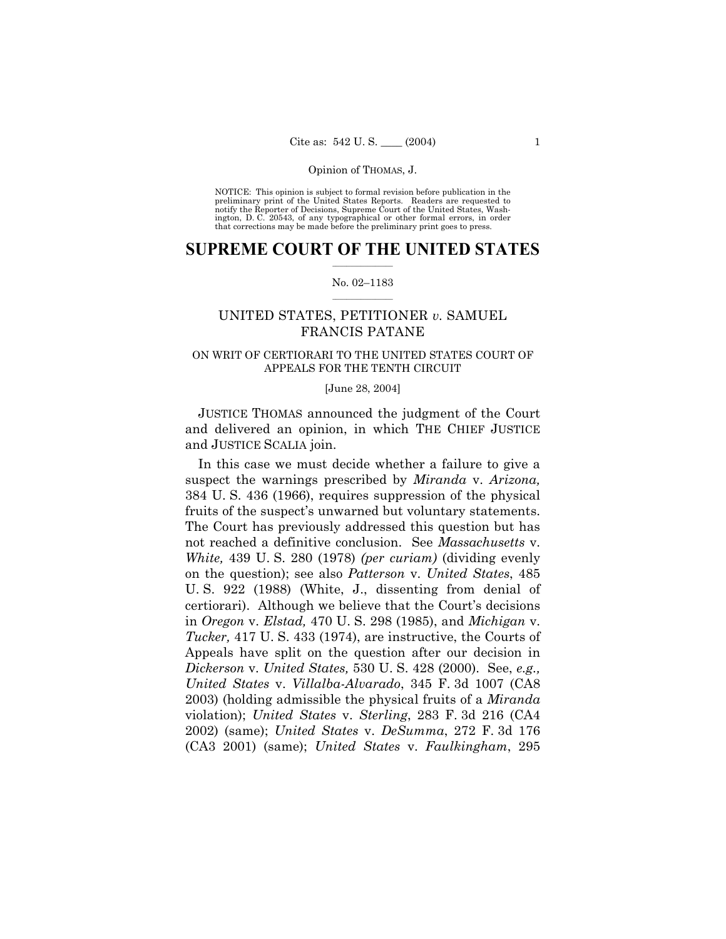NOTICE: This opinion is subject to formal revision before publication in the preliminary print of the United States Reports. Readers are requested to notify the Reporter of Decisions, Supreme Court of the United States, Wa ington, D. C. 20543, of any typographical or other formal errors, in order that corrections may be made before the preliminary print goes to press.

## **SUPREME COURT OF THE UNITED STATES**  $\mathcal{L}=\mathcal{L}^{\mathcal{L}}$

### No. 02-1183  $\mathcal{L}=\mathcal{L}^{\mathcal{L}}$

# UNITED STATES, PETITIONER *v.* SAMUEL FRANCIS PATANE

## ON WRIT OF CERTIORARI TO THE UNITED STATES COURT OF APPEALS FOR THE TENTH CIRCUIT

#### [June 28, 2004]

JUSTICE THOMAS announced the judgment of the Court and delivered an opinion, in which THE CHIEF JUSTICE and JUSTICE SCALIA join.

In this case we must decide whether a failure to give a suspect the warnings prescribed by *Miranda* v. *Arizona,* 384 U. S. 436 (1966), requires suppression of the physical fruits of the suspect's unwarned but voluntary statements. The Court has previously addressed this question but has not reached a definitive conclusion. See *Massachusetts* v. *White,* 439 U. S. 280 (1978) *(per curiam)* (dividing evenly on the question); see also *Patterson* v. *United States*, 485 U. S. 922 (1988) (White, J., dissenting from denial of certiorari). Although we believe that the Court's decisions in *Oregon* v. *Elstad,* 470 U. S. 298 (1985), and *Michigan* v. *Tucker,* 417 U. S. 433 (1974), are instructive, the Courts of Appeals have split on the question after our decision in *Dickerson* v. *United States,* 530 U. S. 428 (2000). See, *e.g., United States* v. *Villalba-Alvarado*, 345 F. 3d 1007 (CA8 2003) (holding admissible the physical fruits of a *Miranda* violation); *United States* v. *Sterling*, 283 F. 3d 216 (CA4 2002) (same); *United States* v. *DeSumma*, 272 F. 3d 176 (CA3 2001) (same); *United States* v. *Faulkingham*, 295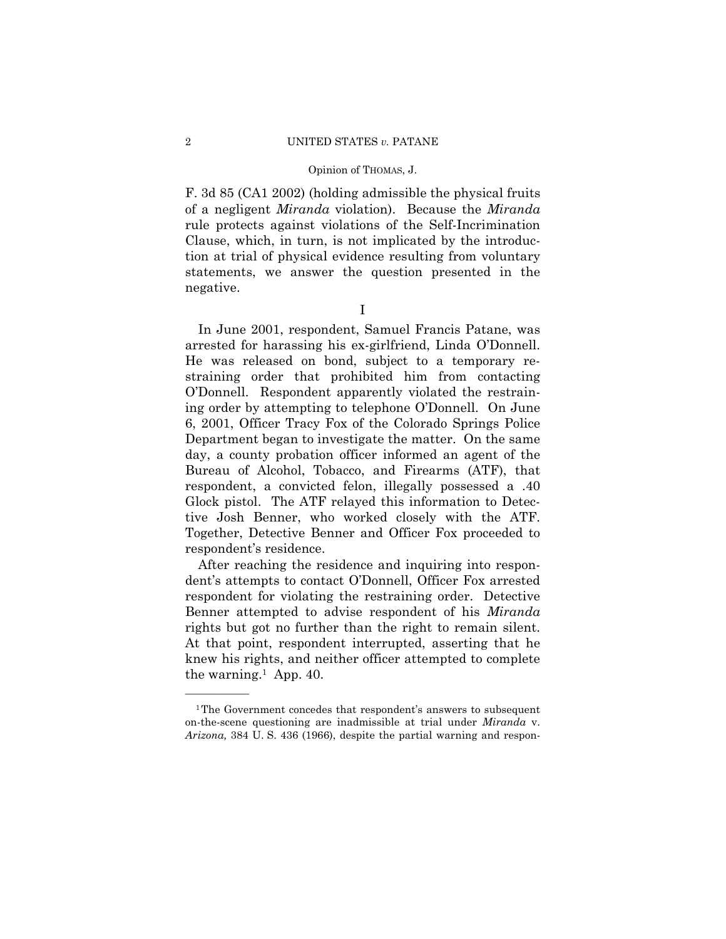### 2 UNITED STATES *v.* PATANE

### Opinion of THOMAS, J.

F. 3d 85 (CA1 2002) (holding admissible the physical fruits of a negligent *Miranda* violation). Because the *Miranda* rule protects against violations of the Self-Incrimination Clause, which, in turn, is not implicated by the introduction at trial of physical evidence resulting from voluntary statements, we answer the question presented in the negative.

I

In June 2001, respondent, Samuel Francis Patane, was arrested for harassing his ex-girlfriend, Linda OíDonnell. He was released on bond, subject to a temporary restraining order that prohibited him from contacting OíDonnell. Respondent apparently violated the restraining order by attempting to telephone OíDonnell. On June 6, 2001, Officer Tracy Fox of the Colorado Springs Police Department began to investigate the matter. On the same day, a county probation officer informed an agent of the Bureau of Alcohol, Tobacco, and Firearms (ATF), that respondent, a convicted felon, illegally possessed a .40 Glock pistol. The ATF relayed this information to Detective Josh Benner, who worked closely with the ATF. Together, Detective Benner and Officer Fox proceeded to respondent's residence.

After reaching the residence and inquiring into respondent's attempts to contact O'Donnell, Officer Fox arrested respondent for violating the restraining order. Detective Benner attempted to advise respondent of his *Miranda* rights but got no further than the right to remain silent. At that point, respondent interrupted, asserting that he knew his rights, and neither officer attempted to complete the warning.<sup>1</sup> App. 40.

<sup>&</sup>lt;sup>1</sup>The Government concedes that respondent's answers to subsequent on-the-scene questioning are inadmissible at trial under *Miranda* v. *Arizona,* 384 U. S. 436 (1966), despite the partial warning and respon-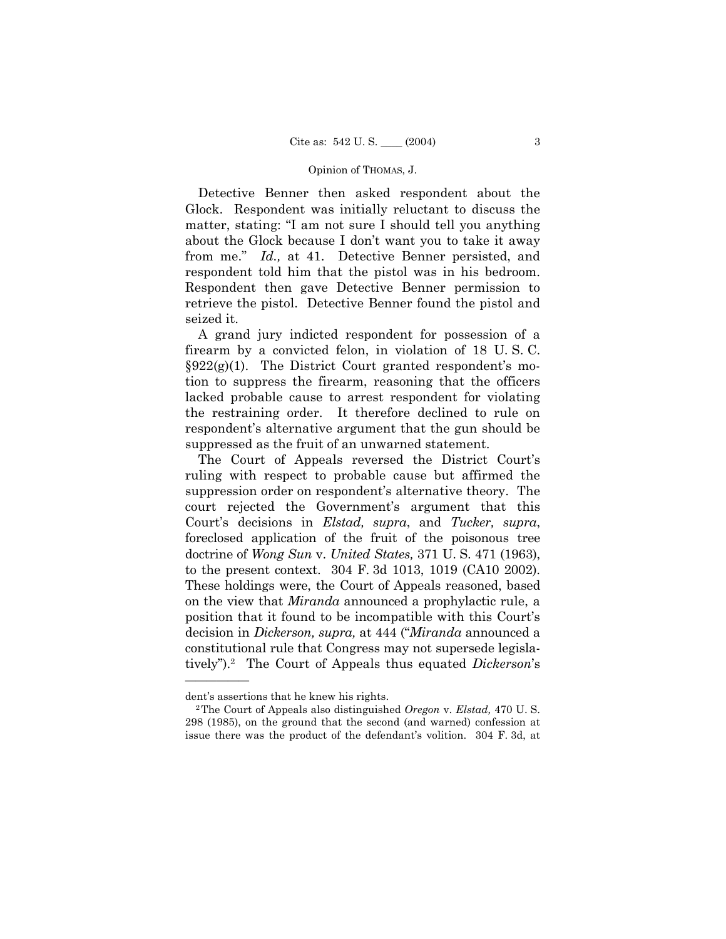Detective Benner then asked respondent about the Glock. Respondent was initially reluctant to discuss the matter, stating: "I am not sure I should tell you anything about the Glock because I don't want you to take it away from me.<sup>n</sup> *Id.*, at 41. Detective Benner persisted, and respondent told him that the pistol was in his bedroom. Respondent then gave Detective Benner permission to retrieve the pistol. Detective Benner found the pistol and seized it.

A grand jury indicted respondent for possession of a firearm by a convicted felon, in violation of 18 U. S. C.  $\S 922(g)(1)$ . The District Court granted respondent's motion to suppress the firearm, reasoning that the officers lacked probable cause to arrest respondent for violating the restraining order. It therefore declined to rule on respondent's alternative argument that the gun should be suppressed as the fruit of an unwarned statement.

The Court of Appeals reversed the District Court's ruling with respect to probable cause but affirmed the suppression order on respondent's alternative theory. The court rejected the Government's argument that this Courtís decisions in *Elstad, supra*, and *Tucker, supra*, foreclosed application of the fruit of the poisonous tree doctrine of *Wong Sun* v. *United States,* 371 U. S. 471 (1963), to the present context. 304 F. 3d 1013, 1019 (CA10 2002). These holdings were, the Court of Appeals reasoned, based on the view that *Miranda* announced a prophylactic rule, a position that it found to be incompatible with this Court's decision in *Dickerson, supra,* at 444 ("*Miranda* announced a constitutional rule that Congress may not supersede legislatively").<sup>2</sup> The Court of Appeals thus equated *Dickerson*'s

dent's assertions that he knew his rights.

<sup>2</sup>The Court of Appeals also distinguished *Oregon* v. *Elstad,* 470 U. S. 298 (1985), on the ground that the second (and warned) confession at issue there was the product of the defendant's volition. 304 F. 3d, at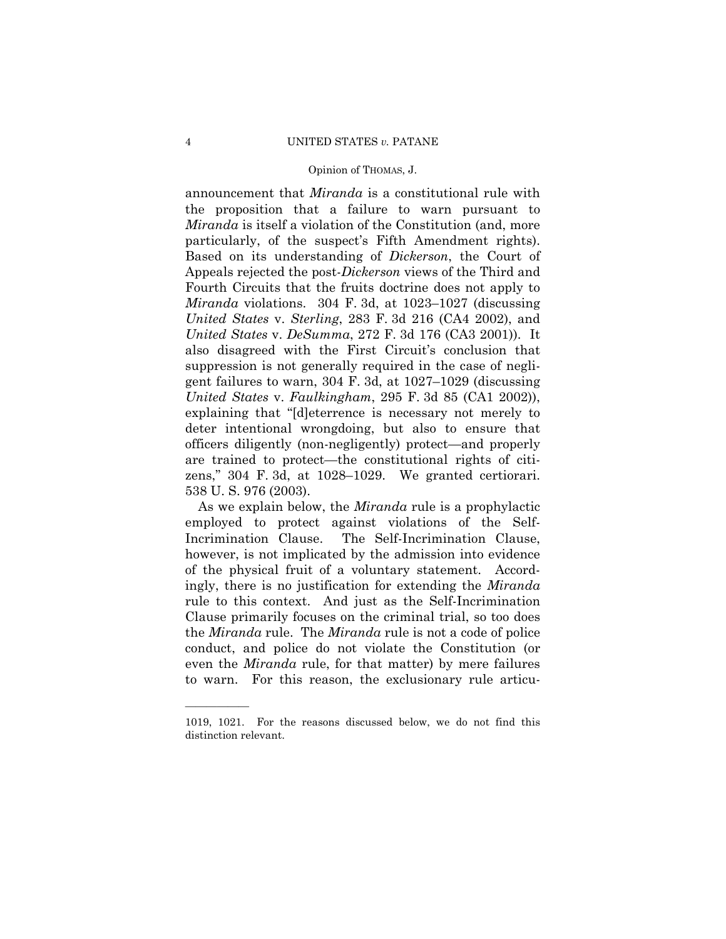announcement that *Miranda* is a constitutional rule with the proposition that a failure to warn pursuant to *Miranda* is itself a violation of the Constitution (and, more particularly, of the suspect's Fifth Amendment rights). Based on its understanding of *Dickerson*, the Court of Appeals rejected the post-*Dickerson* views of the Third and Fourth Circuits that the fruits doctrine does not apply to *Miranda* violations.  $304$  F. 3d, at  $1023-1027$  (discussing *United States* v. *Sterling*, 283 F. 3d 216 (CA4 2002), and *United States* v. *DeSumma*, 272 F. 3d 176 (CA3 2001)). It also disagreed with the First Circuit's conclusion that suppression is not generally required in the case of negligent failures to warn, 304 F. 3d, at  $1027-1029$  (discussing *United States* v. *Faulkingham*, 295 F. 3d 85 (CA1 2002)), explaining that "[d]eterrence is necessary not merely to deter intentional wrongdoing, but also to ensure that officers diligently (non-negligently) protect—and properly are trained to protect—the constitutional rights of citizens," 304 F. 3d, at  $1028-1029$ . We granted certiorari. 538 U. S. 976 (2003).

As we explain below, the *Miranda* rule is a prophylactic employed to protect against violations of the Self-Incrimination Clause. The Self-Incrimination Clause, however, is not implicated by the admission into evidence of the physical fruit of a voluntary statement. Accordingly, there is no justification for extending the *Miranda* rule to this context. And just as the Self-Incrimination Clause primarily focuses on the criminal trial, so too does the *Miranda* rule. The *Miranda* rule is not a code of police conduct, and police do not violate the Constitution (or even the *Miranda* rule, for that matter) by mere failures to warn. For this reason, the exclusionary rule articu-

<sup>1019, 1021.</sup> For the reasons discussed below, we do not find this distinction relevant.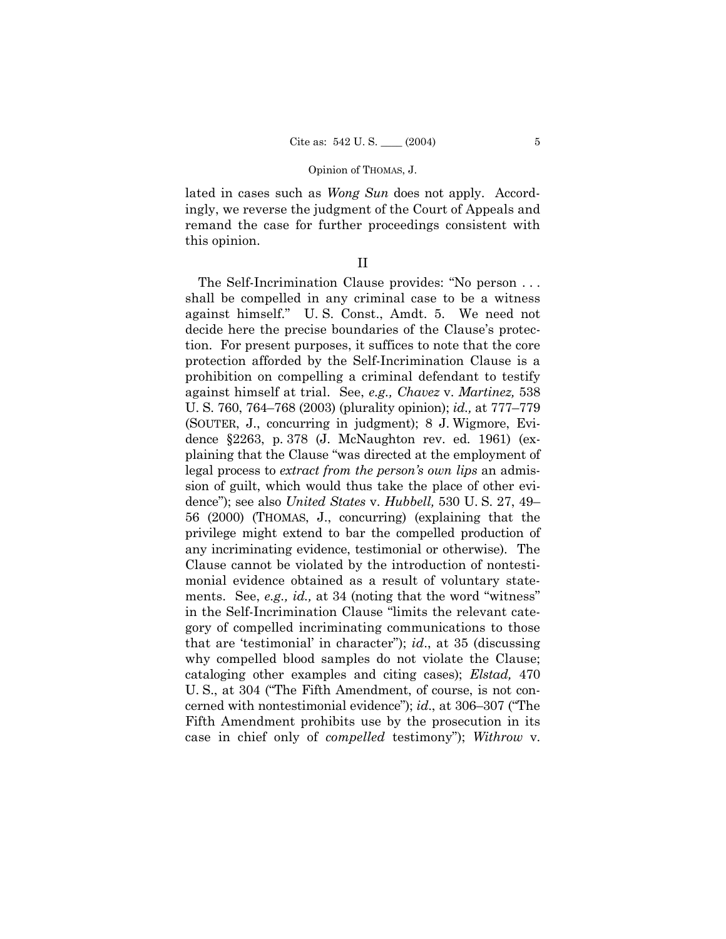lated in cases such as *Wong Sun* does not apply. Accordingly, we reverse the judgment of the Court of Appeals and remand the case for further proceedings consistent with this opinion.

## II

The Self-Incrimination Clause provides: "No person ... shall be compelled in any criminal case to be a witness against himself.î U. S. Const., Amdt. 5. We need not decide here the precise boundaries of the Clause's protection. For present purposes, it suffices to note that the core protection afforded by the Self-Incrimination Clause is a prohibition on compelling a criminal defendant to testify against himself at trial. See, *e.g., Chavez* v. *Martinez,* 538 U. S. 760, 764–768 (2003) (plurality opinion); *id.*, at 777–779 (SOUTER, J., concurring in judgment); 8 J. Wigmore, Evidence ß2263, p. 378 (J. McNaughton rev. ed. 1961) (explaining that the Clause "was directed at the employment of legal process to *extract from the person's own lips* an admission of guilt, which would thus take the place of other evidence"); see also *United States* v. *Hubbell*, 530 U. S. 27, 49-56 (2000) (THOMAS, J., concurring) (explaining that the privilege might extend to bar the compelled production of any incriminating evidence, testimonial or otherwise). The Clause cannot be violated by the introduction of nontestimonial evidence obtained as a result of voluntary statements. See, *e.g., id.*, at 34 (noting that the word "witness" in the Self-Incrimination Clause "limits the relevant category of compelled incriminating communications to those that are 'testimonial' in character''); *id.*, at 35 (discussing why compelled blood samples do not violate the Clause; cataloging other examples and citing cases); *Elstad,* 470 U. S., at 304 ("The Fifth Amendment, of course, is not concerned with nontestimonial evidence"); *id.*, at 306–307 ("The Fifth Amendment prohibits use by the prosecution in its case in chief only of *compelled* testimonyî); *Withrow* v.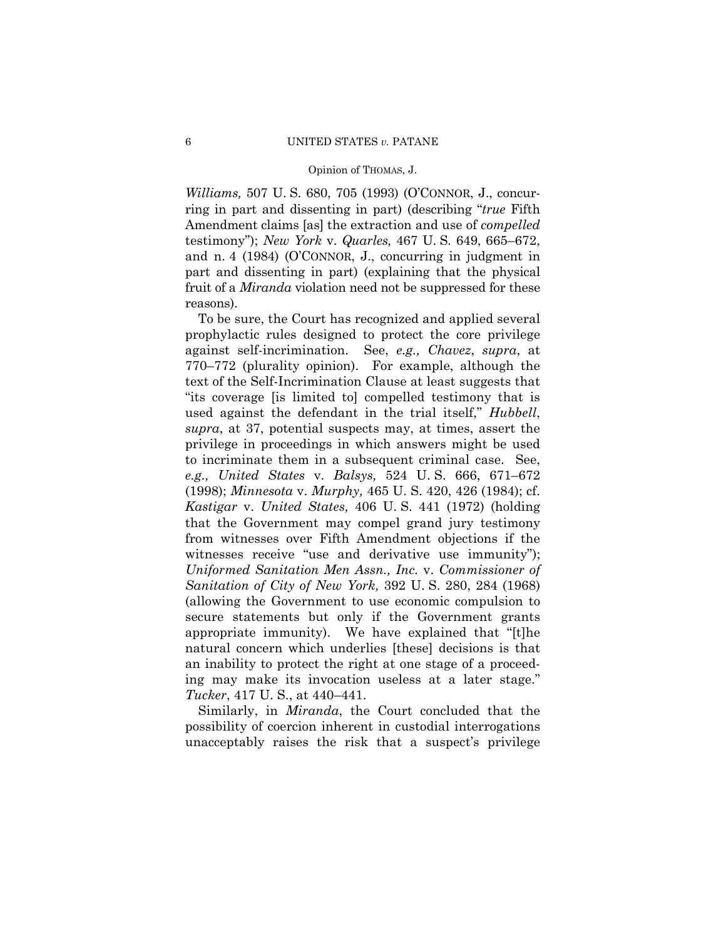*Williams,* 507 U. S. 680, 705 (1993) (O'CONNOR, J., concurring in part and dissenting in part) (describing *<sup><i>true*</sup> Fifth</sup> Amendment claims [as] the extraction and use of *compelled* testimony"); *New York v. Quarles,* 467 U.S. 649, 665–672, and n. 4 (1984) (O'CONNOR, J., concurring in judgment in part and dissenting in part) (explaining that the physical fruit of a *Miranda* violation need not be suppressed for these reasons).

To be sure, the Court has recognized and applied several prophylactic rules designed to protect the core privilege against self-incrimination. See, *e.g., Chavez*, *supra*, at  $770-772$  (plurality opinion). For example, although the text of the Self-Incrimination Clause at least suggests that ìits coverage [is limited to] compelled testimony that is used against the defendant in the trial itself," *Hubbell*, *supra*, at 37, potential suspects may, at times, assert the privilege in proceedings in which answers might be used to incriminate them in a subsequent criminal case. See, *e.g., United States v. Balsys, 524 U.S. 666, 671–672* (1998); *Minnesota* v. *Murphy,* 465 U. S. 420, 426 (1984); cf. *Kastigar* v. *United States,* 406 U. S. 441 (1972) (holding that the Government may compel grand jury testimony from witnesses over Fifth Amendment objections if the witnesses receive "use and derivative use immunity"); *Uniformed Sanitation Men Assn., Inc.* v. *Commissioner of Sanitation of City of New York,* 392 U. S. 280, 284 (1968) (allowing the Government to use economic compulsion to secure statements but only if the Government grants appropriate immunity). We have explained that  $f$ [t]he natural concern which underlies [these] decisions is that an inability to protect the right at one stage of a proceeding may make its invocation useless at a later stage. *Tucker*, 417 U.S., at 440–441.

Similarly, in *Miranda*, the Court concluded that the possibility of coercion inherent in custodial interrogations unacceptably raises the risk that a suspect's privilege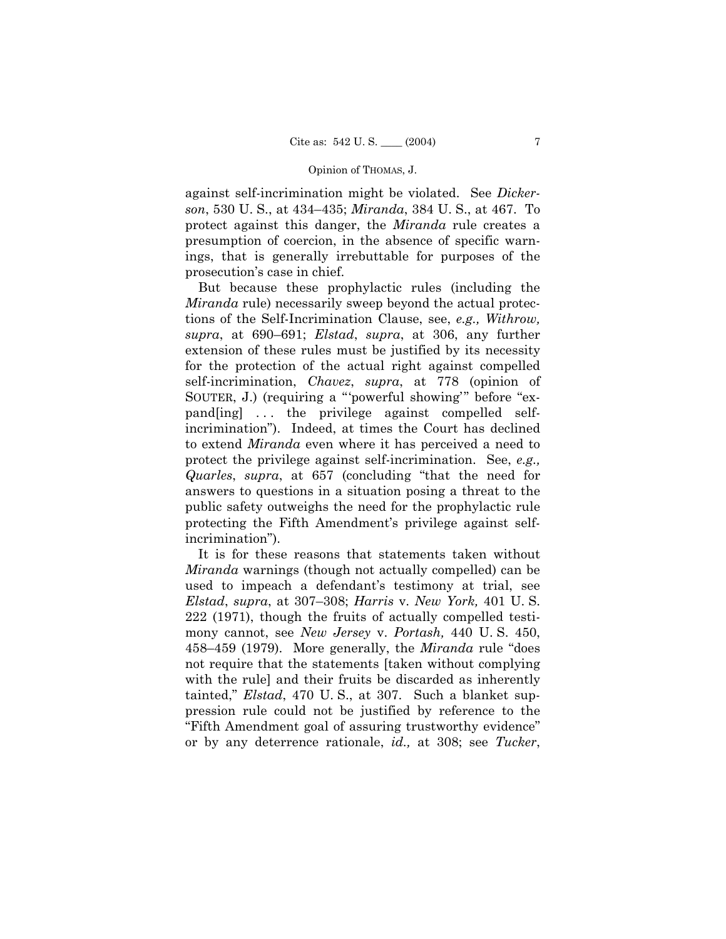against self-incrimination might be violated. See *Dickerson*, 530 U. S., at 434–435; *Miranda*, 384 U. S., at 467. To protect against this danger, the *Miranda* rule creates a presumption of coercion, in the absence of specific warnings, that is generally irrebuttable for purposes of the prosecution's case in chief.

But because these prophylactic rules (including the *Miranda* rule) necessarily sweep beyond the actual protections of the Self-Incrimination Clause, see, *e.g., Withrow, supra*, at 690–691; *Elstad*, *supra*, at 306, any further extension of these rules must be justified by its necessity for the protection of the actual right against compelled self-incrimination, *Chavez*, *supra*, at 778 (opinion of SOUTER, J.) (requiring a "powerful showing" before "expand[ing] . . . the privilege against compelled selfincriminationî). Indeed, at times the Court has declined to extend *Miranda* even where it has perceived a need to protect the privilege against self-incrimination. See, *e.g., Quarles*, *supra*, at 657 (concluding "that the need for answers to questions in a situation posing a threat to the public safety outweighs the need for the prophylactic rule protecting the Fifth Amendment's privilege against selfincrimination").

It is for these reasons that statements taken without *Miranda* warnings (though not actually compelled) can be used to impeach a defendant's testimony at trial, see *Elstad, supra, at 307–308; Harris v. New York,* 401 U.S. 222 (1971), though the fruits of actually compelled testimony cannot, see *New Jersey* v. *Portash,* 440 U. S. 450, 458–459 (1979). More generally, the *Miranda* rule "does" not require that the statements [taken without complying with the rule] and their fruits be discarded as inherently tainted," *Elstad*, 470 U.S., at 307. Such a blanket suppression rule could not be justified by reference to the ìFifth Amendment goal of assuring trustworthy evidenceî or by any deterrence rationale, *id.,* at 308; see *Tucker*,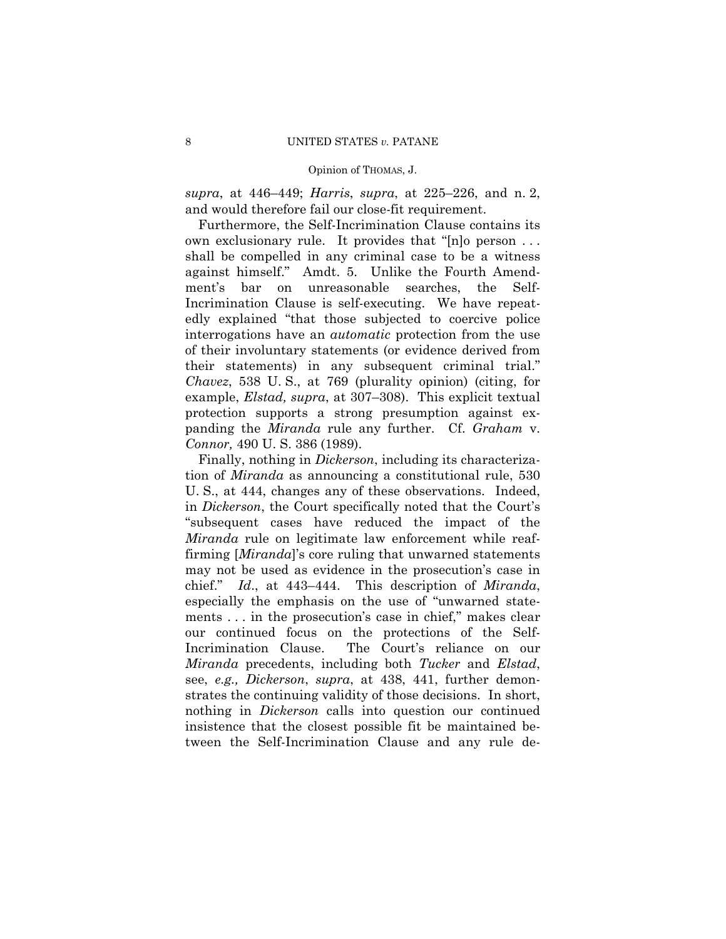*supra*, at 446–449; *Harris*, *supra*, at 225–226, and n. 2, and would therefore fail our close-fit requirement.

Furthermore, the Self-Incrimination Clause contains its own exclusionary rule. It provides that " $[n]$ o person ... shall be compelled in any criminal case to be a witness against himself.î Amdt. 5. Unlike the Fourth Amendmentís bar on unreasonable searches, the Self-Incrimination Clause is self-executing. We have repeatedly explained "that those subjected to coercive police interrogations have an *automatic* protection from the use of their involuntary statements (or evidence derived from their statements) in any subsequent criminal trial. *Chavez*, 538 U. S., at 769 (plurality opinion) (citing, for example, *Elstad, supra*, at 307–308). This explicit textual protection supports a strong presumption against expanding the *Miranda* rule any further. Cf. *Graham* v. *Connor,* 490 U. S. 386 (1989).

Finally, nothing in *Dickerson*, including its characterization of *Miranda* as announcing a constitutional rule, 530 U. S., at 444, changes any of these observations. Indeed, in *Dickerson*, the Court specifically noted that the Court's ìsubsequent cases have reduced the impact of the *Miranda* rule on legitimate law enforcement while reaffirming [*Miranda*]'s core ruling that unwarned statements may not be used as evidence in the prosecution's case in chief." *Id.*, at 443–444. This description of *Miranda*, especially the emphasis on the use of "unwarned statements . . . in the prosecution's case in chief," makes clear our continued focus on the protections of the Self-Incrimination Clause. The Court's reliance on our *Miranda* precedents, including both *Tucker* and *Elstad*, see, *e.g., Dickerson*, *supra*, at 438, 441, further demonstrates the continuing validity of those decisions. In short, nothing in *Dickerson* calls into question our continued insistence that the closest possible fit be maintained between the Self-Incrimination Clause and any rule de-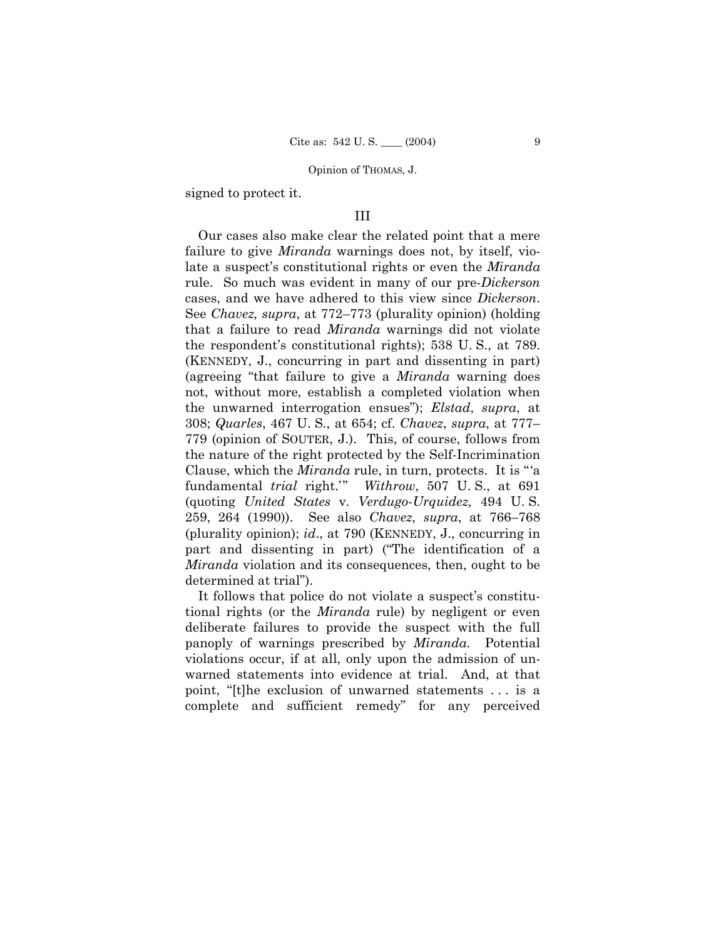signed to protect it.

## III

Our cases also make clear the related point that a mere failure to give *Miranda* warnings does not, by itself, violate a suspect's constitutional rights or even the *Miranda* rule. So much was evident in many of our pre-*Dickerson* cases, and we have adhered to this view since *Dickerson*. See *Chavez, supra,* at 772–773 (plurality opinion) (holding that a failure to read *Miranda* warnings did not violate the respondentís constitutional rights); 538 U. S., at 789. (KENNEDY, J., concurring in part and dissenting in part) (agreeing "that failure to give a *Miranda* warning does not, without more, establish a completed violation when the unwarned interrogation ensuesî); *Elstad*, *supra*, at 308; *Quarles*, 467 U. S., at 654; cf. *Chavez*, *supra*, at 777– 779 (opinion of SOUTER, J.). This, of course, follows from the nature of the right protected by the Self-Incrimination Clause, which the *Miranda* rule, in turn, protects. It is "a fundamental *trial* right." *Withrow*, 507 U.S., at 691 (quoting *United States* v. *Verdugo-Urquidez,* 494 U. S. 259, 264 (1990)). See also *Chavez*, *supra*, at 766–768 (plurality opinion); *id*., at 790 (KENNEDY, J., concurring in part and dissenting in part) (The identification of a *Miranda* violation and its consequences, then, ought to be determined at trial").

It follows that police do not violate a suspect's constitutional rights (or the *Miranda* rule) by negligent or even deliberate failures to provide the suspect with the full panoply of warnings prescribed by *Miranda*. Potential violations occur, if at all, only upon the admission of unwarned statements into evidence at trial. And, at that point, "[t]he exclusion of unwarned statements  $\dots$  is a complete and sufficient remedy" for any perceived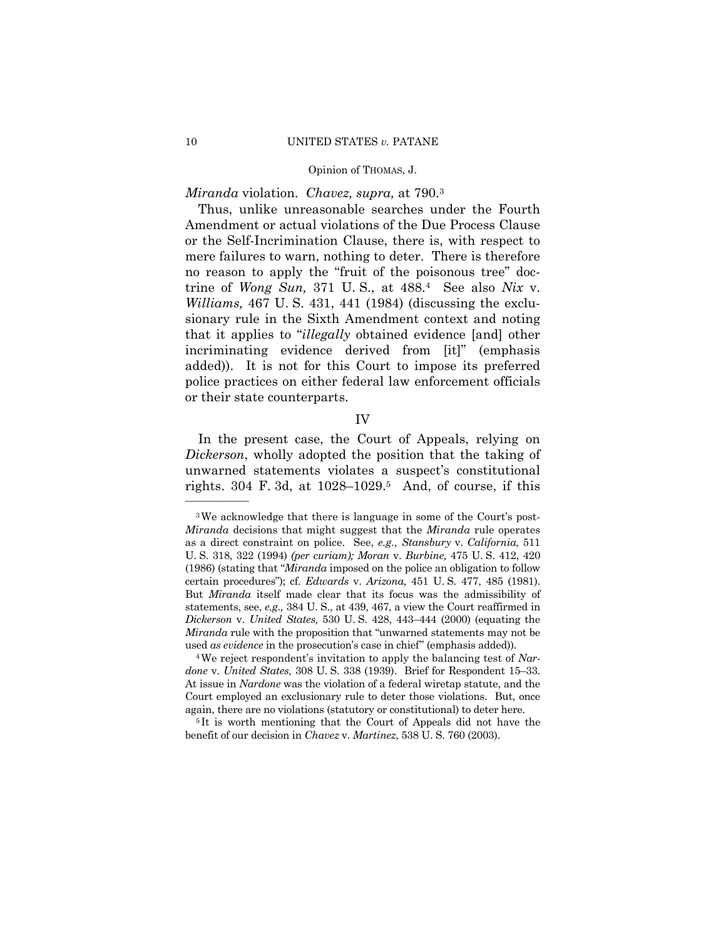*Miranda* violation. *Chavez, supra,* at 790.3

Thus, unlike unreasonable searches under the Fourth Amendment or actual violations of the Due Process Clause or the Self-Incrimination Clause, there is, with respect to mere failures to warn, nothing to deter. There is therefore no reason to apply the "fruit of the poisonous tree" doctrine of *Wong Sun,* 371 U. S., at 488.4 See also *Nix* v. *Williams,* 467 U. S. 431, 441 (1984) (discussing the exclusionary rule in the Sixth Amendment context and noting that it applies to *''illegally* obtained evidence [and] other incriminating evidence derived from [it]" (emphasis added)). It is not for this Court to impose its preferred police practices on either federal law enforcement officials or their state counterparts.

## IV

In the present case, the Court of Appeals, relying on *Dickerson*, wholly adopted the position that the taking of unwarned statements violates a suspect's constitutional rights. 304 F. 3d, at  $1028-1029$ <sup>5</sup> And, of course, if this

<sup>&</sup>lt;sup>3</sup>We acknowledge that there is language in some of the Court's post-*Miranda* decisions that might suggest that the *Miranda* rule operates as a direct constraint on police. See, *e.g., Stansbury* v. *California,* 511 U. S. 318, 322 (1994) *(per curiam); Moran* v. *Burbine,* 475 U. S. 412, 420 (1986) (stating that *''Miranda* imposed on the police an obligation to follow certain proceduresî); cf. *Edwards* v. *Arizona,* 451 U. S. 477, 485 (1981). But *Miranda* itself made clear that its focus was the admissibility of statements, see, *e.g.,* 384 U. S., at 439, 467, a view the Court reaffirmed in *Dickerson* v. *United States*, 530 U.S. 428, 443–444 (2000) (equating the *Miranda* rule with the proposition that "unwarned statements may not be used *as evidence* in the prosecution's case in chief" (emphasis added)).

<sup>4</sup>We reject respondentís invitation to apply the balancing test of *Nardone* v. *United States*, 308 U. S. 338 (1939). Brief for Respondent 15-33. At issue in *Nardone* was the violation of a federal wiretap statute, and the Court employed an exclusionary rule to deter those violations. But, once again, there are no violations (statutory or constitutional) to deter here.

<sup>5</sup> It is worth mentioning that the Court of Appeals did not have the benefit of our decision in *Chavez* v. *Martinez*, 538 U. S. 760 (2003).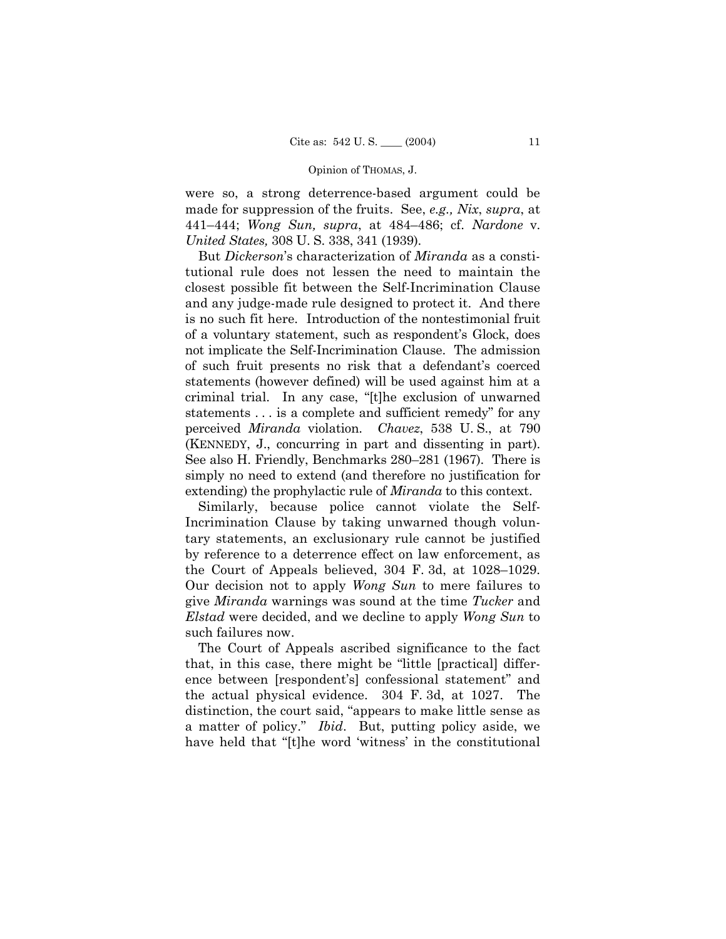were so, a strong deterrence-based argument could be made for suppression of the fruits. See, *e.g., Nix*, *supra*, at 441–444; *Wong Sun, supra, at 484–486; cf. Nardone* v. *United States,* 308 U. S. 338, 341 (1939).

But *Dickerson*ís characterization of *Miranda* as a constitutional rule does not lessen the need to maintain the closest possible fit between the Self-Incrimination Clause and any judge-made rule designed to protect it. And there is no such fit here. Introduction of the nontestimonial fruit of a voluntary statement, such as respondentís Glock, does not implicate the Self-Incrimination Clause. The admission of such fruit presents no risk that a defendantís coerced statements (however defined) will be used against him at a criminal trial. In any case, "[t]he exclusion of unwarned statements  $\dots$  is a complete and sufficient remedy" for any perceived *Miranda* violation. *Chavez*, 538 U. S., at 790 (KENNEDY, J., concurring in part and dissenting in part). See also H. Friendly, Benchmarks 280–281 (1967). There is simply no need to extend (and therefore no justification for extending) the prophylactic rule of *Miranda* to this context.

Similarly, because police cannot violate the Self-Incrimination Clause by taking unwarned though voluntary statements, an exclusionary rule cannot be justified by reference to a deterrence effect on law enforcement, as the Court of Appeals believed,  $304$  F. 3d, at  $1028-1029$ . Our decision not to apply *Wong Sun* to mere failures to give *Miranda* warnings was sound at the time *Tucker* and *Elstad* were decided, and we decline to apply *Wong Sun* to such failures now.

The Court of Appeals ascribed significance to the fact that, in this case, there might be "little [practical] difference between [respondent's] confessional statement" and the actual physical evidence. 304 F. 3d, at 1027. The distinction, the court said, "appears to make little sense as a matter of policy.î *Ibid*. But, putting policy aside, we have held that "[t]he word 'witness' in the constitutional